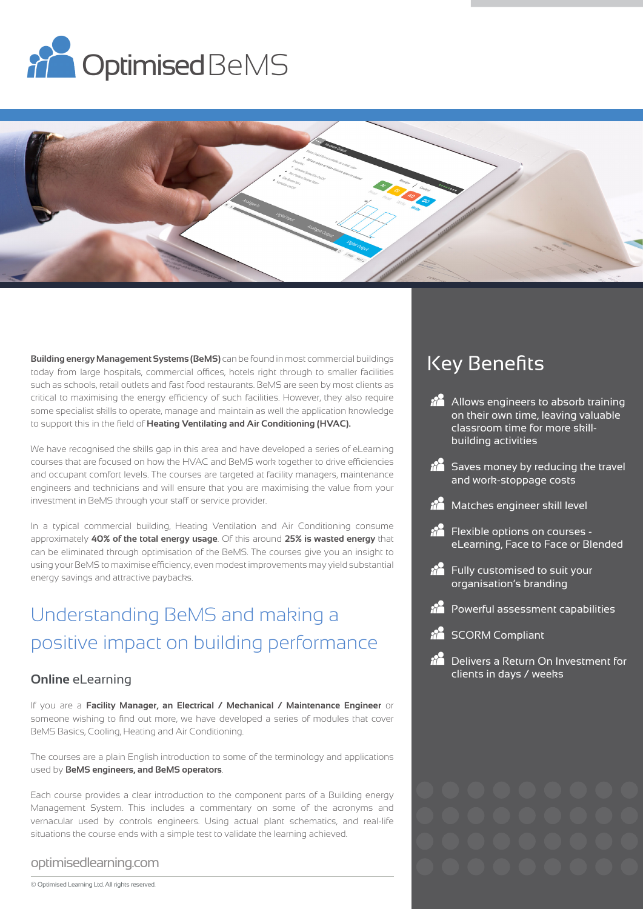



**Building energy Management Systems (BeMS)** can be found in most commercial buildings today from large hospitals, commercial offices, hotels right through to smaller facilities such as schools, retail outlets and fast food restaurants. BeMS are seen by most clients as critical to maximising the energy efficiency of such facilities. However, they also require some specialist skills to operate, manage and maintain as well the application knowledge to support this in the field of **Heating Ventilating and Air Conditioning (HVAC).**

We have recognised the skills gap in this area and have developed a series of eLearning courses that are focused on how the HVAC and BeMS work together to drive efficiencies and occupant comfort levels. The courses are targeted at facility managers, maintenance engineers and technicians and will ensure that you are maximising the value from your investment in BeMS through your staff or service provider.

In a typical commercial building, Heating Ventilation and Air Conditioning consume approximately **40% of the total energy usage**. Of this around **25% is wasted energy** that can be eliminated through optimisation of the BeMS. The courses give you an insight to using your BeMS to maximise efficiency, even modest improvements may yield substantial energy savings and attractive paybacks.

# Understanding BeMS and making a positive impact on building performance

### **Online** eLearning

If you are a **Facility Manager, an Electrical / Mechanical / Maintenance Engineer** or someone wishing to find out more, we have developed a series of modules that cover BeMS Basics, Cooling, Heating and Air Conditioning.

The courses are a plain English introduction to some of the terminology and applications used by **BeMS engineers, and BeMS operators**.

Each course provides a clear introduction to the component parts of a Building energy Management System. This includes a commentary on some of the acronyms and vernacular used by controls engineers. Using actual plant schematics, and real-life situations the course ends with a simple test to validate the learning achieved.

#### optimisedlearning.com

# Key Benefits

- **Allows engineers to absorb training** on their own time, leaving valuable classroom time for more skillbuilding activities
- *i***n** Saves money by reducing the travel and work-stoppage costs
- Matches engineer skill level
- $\frac{1}{2}$  Flexible options on courses eLearning, Face to Face or Blended
- **folly** customised to suit your organisation's branding
- Powerful assessment capabilities
- **RE** SCORM Compliant
- *i***n** Delivers a Return On Investment for clients in days / weeks